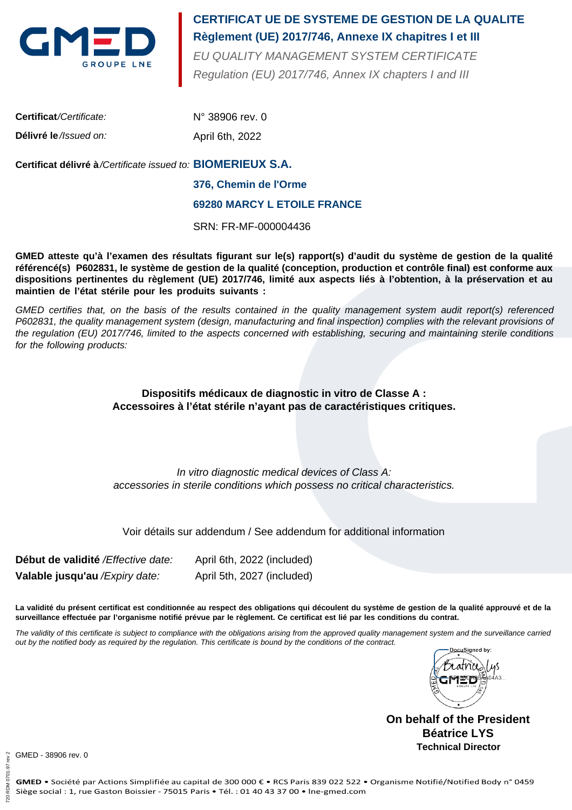

# **Règlement (UE) 2017/746, Annexe IX chapitres I et III CERTIFICAT UE DE SYSTEME DE GESTION DE LA QUALITE**

Regulation (EU) 2017/746, Annex IX chapters I and III EU QUALITY MANAGEMENT SYSTEM CERTIFICATE

| <b>Certificat/Certificate:</b> | $N^{\circ}$ 38906 rev. 0 |
|--------------------------------|--------------------------|
| Délivré le //ssued on:         | April 6th, 2022          |

# **BIOMERIEUX S.A. Certificat délivré à**/Certificate issued to:

#### **376, Chemin de l'Orme**

#### **69280 MARCY L ETOILE FRANCE**

SRN: FR-MF-000004436

**GMED atteste qu'à l'examen des résultats figurant sur le(s) rapport(s) d'audit du système de gestion de la qualité référencé(s) P602831, le système de gestion de la qualité (conception, production et contrôle final) est conforme aux dispositions pertinentes du règlement (UE) 2017/746, limité aux aspects liés à l'obtention, à la préservation et au maintien de l'état stérile pour les produits suivants :**

GMED certifies that, on the basis of the results contained in the quality management system audit report(s) referenced P602831, the quality management system (design, manufacturing and final inspection) complies with the relevant provisions of the regulation (EU) 2017/746, limited to the aspects concerned with establishing, securing and maintaining sterile conditions for the following products:

## **Dispositifs médicaux de diagnostic in vitro de Classe A : Accessoires à l'état stérile n'ayant pas de caractéristiques critiques.**

In vitro diagnostic medical devices of Class A: accessories in sterile conditions which possess no critical characteristics.

## Voir détails sur addendum / See addendum for additional information

**Début de validité** /Effective date: **Valable jusqu'au** /Expiry date: April 6th, 2022 (included) April 5th, 2027 (included)

**La validité du présent certificat est conditionnée au respect des obligations qui découlent du système de gestion de la qualité approuvé et de la surveillance effectuée par l'organisme notifié prévue par le règlement. Ce certificat est lié par les conditions du contrat.**

The validity of this certificate is subject to compliance with the obligations arising from the approved quality management system and the surveillance carried out by the notified body as required by the regulation. This certificate is bound by the conditions of the contract.



**On behalf of the President Béatrice LYS Technical Director**

GMED - 38906 rev. 0

720 RDM 0701-97 rev 2

720 RDM 0701

 $\overline{5}$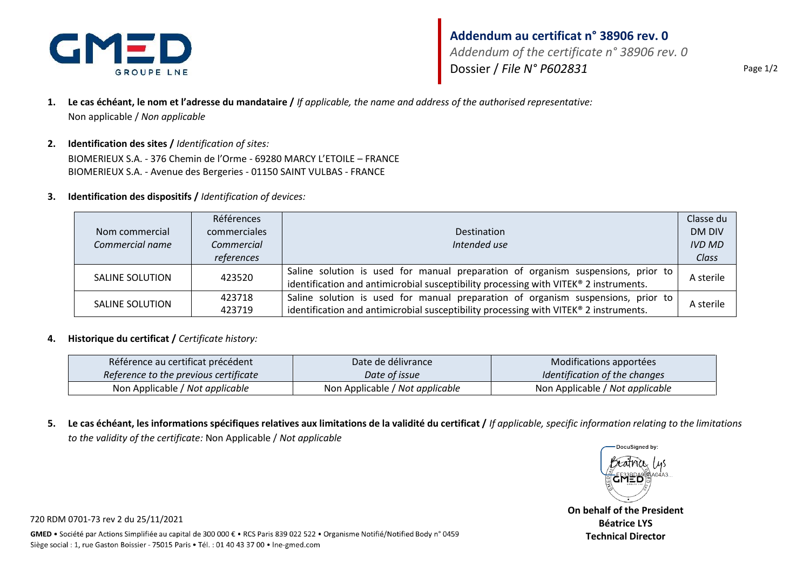

# **Addendum au certificat n° 38906 rev. 0** *Addendum of the certificate n° 38906 rev. 0* Dossier / *File N° P602831* Page 1/2

- **1. Le cas échéant, le nom et l'adresse du mandataire /** *If applicable, the name and address of the authorised representative:* Non applicable / *Non applicable*
- **2. Identification des sites /** *Identification of sites:* BIOMERIEUX S.A. - 376 Chemin de l'Orme - 69280 MARCY L'ETOILE – FRANCE BIOMERIEUX S.A. - Avenue des Bergeries - 01150 SAINT VULBAS - FRANCE
- **3. Identification des dispositifs /** *Identification of devices:*

|                        | Références   |                                                                                                                                                                           | Classe du     |
|------------------------|--------------|---------------------------------------------------------------------------------------------------------------------------------------------------------------------------|---------------|
| Nom commercial         | commerciales | Destination                                                                                                                                                               | DM DIV        |
| Commercial name        | Commercial   | Intended use                                                                                                                                                              | <b>IVD MD</b> |
|                        | references   |                                                                                                                                                                           | Class         |
| <b>SALINE SOLUTION</b> | 423520       | Saline solution is used for manual preparation of organism suspensions, prior to<br>identification and antimicrobial susceptibility processing with VITEK® 2 instruments. | A sterile     |
| SALINE SOLUTION        | 423718       | Saline solution is used for manual preparation of organism suspensions, prior to                                                                                          | A sterile     |
|                        | 423719       | identification and antimicrobial susceptibility processing with VITEK® 2 instruments.                                                                                     |               |

#### **4. Historique du certificat /** *Certificate history:*

| Référence au certificat précédent     | Date de délivrance              | Modifications apportées         |
|---------------------------------------|---------------------------------|---------------------------------|
| Reference to the previous certificate | Date of issue                   | Identification of the changes   |
| Non Applicable / Not applicable       | Non Applicable / Not applicable | Non Applicable / Not applicable |

**5. Le cas échéant, les informations spécifiques relatives aux limitations de la validité du certificat /** *If applicable, specific information relating to the limitations to the validity of the certificate:* Non Applicable / *Not applicable*



**On behalf of the President Béatrice LYS Technical Director**

720 RDM 0701-73 rev 2 du 25/11/2021

GMED . Société par Actions Simplifiée au capital de 300 000 € . RCS Paris 839 022 522 . Organisme Notifié/Notified Body n° 0459 Siège social : 1, rue Gaston Boissier - 75015 Paris · Tél. : 01 40 43 37 00 · Ine-gmed.com